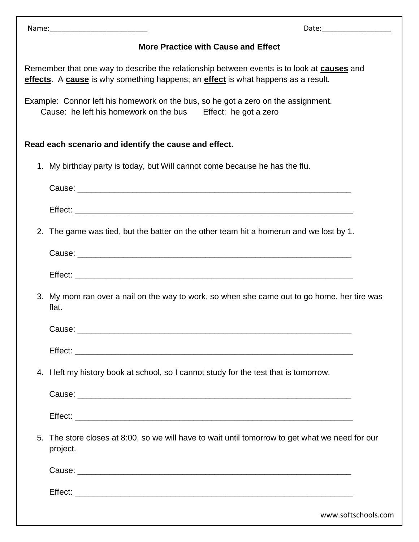| Name: | Date: |
|-------|-------|
|       |       |

## **More Practice with Cause and Effect**

Remember that one way to describe the relationship between events is to look at **causes** and **effects**. A **cause** is why something happens; an **effect** is what happens as a result.

Example: Connor left his homework on the bus, so he got a zero on the assignment. Cause: he left his homework on the bus Effect: he got a zero

## **Read each scenario and identify the cause and effect.**

1. My birthday party is today, but Will cannot come because he has the flu.

| 2. The game was tied, but the batter on the other team hit a homerun and we lost by 1.                      |
|-------------------------------------------------------------------------------------------------------------|
|                                                                                                             |
|                                                                                                             |
| 3. My mom ran over a nail on the way to work, so when she came out to go home, her tire was<br>flat.        |
|                                                                                                             |
|                                                                                                             |
| 4. I left my history book at school, so I cannot study for the test that is tomorrow.                       |
|                                                                                                             |
|                                                                                                             |
| 5. The store closes at 8:00, so we will have to wait until tomorrow to get what we need for our<br>project. |
|                                                                                                             |
|                                                                                                             |
| www.softschools.com                                                                                         |